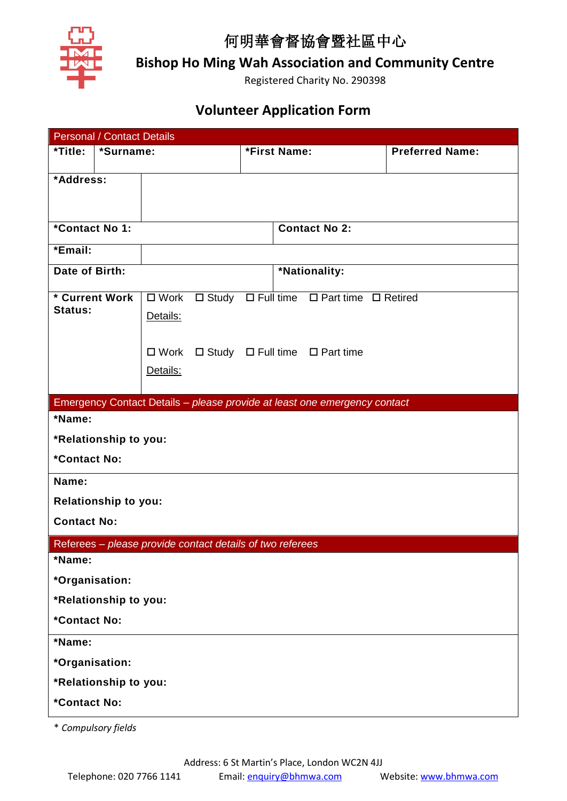

## 何明華會督協會暨社區中心

**Bishop Ho Ming Wah Association and Community Centre**

Registered Charity No. 290398

## **Volunteer Application Form**

|                                            | <b>Personal / Contact Details</b> |                                        |                                                           |              |  |                                                                           |                        |  |
|--------------------------------------------|-----------------------------------|----------------------------------------|-----------------------------------------------------------|--------------|--|---------------------------------------------------------------------------|------------------------|--|
| *Title:<br>*Surname:                       |                                   |                                        |                                                           | *First Name: |  |                                                                           | <b>Preferred Name:</b> |  |
|                                            |                                   |                                        |                                                           |              |  |                                                                           |                        |  |
| *Address:                                  |                                   |                                        |                                                           |              |  |                                                                           |                        |  |
|                                            |                                   |                                        |                                                           |              |  |                                                                           |                        |  |
|                                            |                                   |                                        |                                                           |              |  |                                                                           |                        |  |
| *Contact No 1:                             |                                   |                                        |                                                           |              |  | <b>Contact No 2:</b>                                                      |                        |  |
| *Email:                                    |                                   |                                        |                                                           |              |  |                                                                           |                        |  |
| Date of Birth:                             |                                   |                                        |                                                           |              |  | *Nationality:                                                             |                        |  |
| * Current Work                             |                                   |                                        |                                                           |              |  | □ Work □ Study □ Full time □ Part time □ Retired                          |                        |  |
| <b>Status:</b>                             |                                   | Details:                               |                                                           |              |  |                                                                           |                        |  |
|                                            |                                   |                                        |                                                           |              |  |                                                                           |                        |  |
|                                            |                                   |                                        |                                                           |              |  |                                                                           |                        |  |
|                                            |                                   | □ Work □ Study □ Full time □ Part time |                                                           |              |  |                                                                           |                        |  |
|                                            |                                   | Details:                               |                                                           |              |  |                                                                           |                        |  |
|                                            |                                   |                                        |                                                           |              |  |                                                                           |                        |  |
|                                            |                                   |                                        |                                                           |              |  | Emergency Contact Details - please provide at least one emergency contact |                        |  |
| *Name:                                     |                                   |                                        |                                                           |              |  |                                                                           |                        |  |
|                                            | *Relationship to you:             |                                        |                                                           |              |  |                                                                           |                        |  |
| *Contact No:                               |                                   |                                        |                                                           |              |  |                                                                           |                        |  |
| Name:                                      |                                   |                                        |                                                           |              |  |                                                                           |                        |  |
|                                            |                                   |                                        |                                                           |              |  |                                                                           |                        |  |
| Relationship to you:<br><b>Contact No:</b> |                                   |                                        |                                                           |              |  |                                                                           |                        |  |
|                                            |                                   |                                        |                                                           |              |  |                                                                           |                        |  |
|                                            |                                   |                                        | Referees - please provide contact details of two referees |              |  |                                                                           |                        |  |
| *Name:                                     |                                   |                                        |                                                           |              |  |                                                                           |                        |  |
| *Organisation:                             |                                   |                                        |                                                           |              |  |                                                                           |                        |  |
| *Relationship to you:                      |                                   |                                        |                                                           |              |  |                                                                           |                        |  |
| *Contact No:                               |                                   |                                        |                                                           |              |  |                                                                           |                        |  |
| *Name:                                     |                                   |                                        |                                                           |              |  |                                                                           |                        |  |
| *Organisation:                             |                                   |                                        |                                                           |              |  |                                                                           |                        |  |
| *Relationship to you:                      |                                   |                                        |                                                           |              |  |                                                                           |                        |  |
| *Contact No:                               |                                   |                                        |                                                           |              |  |                                                                           |                        |  |
|                                            |                                   |                                        |                                                           |              |  |                                                                           |                        |  |

\* *Compulsory fields*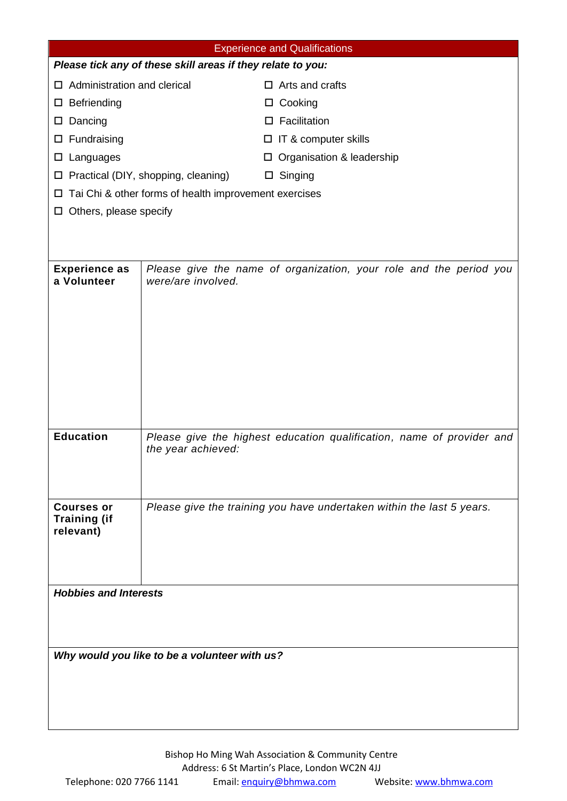| <b>Experience and Qualifications</b>                         |                                                                                          |                                                                       |  |  |  |  |  |  |
|--------------------------------------------------------------|------------------------------------------------------------------------------------------|-----------------------------------------------------------------------|--|--|--|--|--|--|
| Please tick any of these skill areas if they relate to you:  |                                                                                          |                                                                       |  |  |  |  |  |  |
| $\Box$ Administration and clerical                           |                                                                                          | $\Box$ Arts and crafts                                                |  |  |  |  |  |  |
| $\square$ Befriending                                        |                                                                                          | Cooking<br>ப                                                          |  |  |  |  |  |  |
| $\square$ Dancing                                            |                                                                                          | Facilitation<br>□                                                     |  |  |  |  |  |  |
| $\square$ Fundraising                                        |                                                                                          | IT & computer skills<br>ப                                             |  |  |  |  |  |  |
| $\square$ Languages                                          |                                                                                          | Organisation & leadership<br>ப                                        |  |  |  |  |  |  |
|                                                              | $\Box$ Practical (DIY, shopping, cleaning)                                               | Singing<br>$\Box$                                                     |  |  |  |  |  |  |
| $\Box$ Tai Chi & other forms of health improvement exercises |                                                                                          |                                                                       |  |  |  |  |  |  |
| $\Box$ Others, please specify                                |                                                                                          |                                                                       |  |  |  |  |  |  |
|                                                              |                                                                                          |                                                                       |  |  |  |  |  |  |
|                                                              |                                                                                          |                                                                       |  |  |  |  |  |  |
| <b>Experience as</b><br>a Volunteer                          | Please give the name of organization, your role and the period you<br>were/are involved. |                                                                       |  |  |  |  |  |  |
|                                                              |                                                                                          |                                                                       |  |  |  |  |  |  |
|                                                              |                                                                                          |                                                                       |  |  |  |  |  |  |
|                                                              |                                                                                          |                                                                       |  |  |  |  |  |  |
|                                                              |                                                                                          |                                                                       |  |  |  |  |  |  |
|                                                              |                                                                                          |                                                                       |  |  |  |  |  |  |
|                                                              |                                                                                          |                                                                       |  |  |  |  |  |  |
|                                                              |                                                                                          |                                                                       |  |  |  |  |  |  |
| <b>Education</b>                                             | the year achieved:                                                                       | Please give the highest education qualification, name of provider and |  |  |  |  |  |  |
|                                                              |                                                                                          |                                                                       |  |  |  |  |  |  |
|                                                              |                                                                                          |                                                                       |  |  |  |  |  |  |
| <b>Courses or</b>                                            |                                                                                          | Please give the training you have undertaken within the last 5 years. |  |  |  |  |  |  |
| <b>Training (if</b>                                          |                                                                                          |                                                                       |  |  |  |  |  |  |
| relevant)                                                    |                                                                                          |                                                                       |  |  |  |  |  |  |
|                                                              |                                                                                          |                                                                       |  |  |  |  |  |  |
|                                                              |                                                                                          |                                                                       |  |  |  |  |  |  |
| <b>Hobbies and Interests</b>                                 |                                                                                          |                                                                       |  |  |  |  |  |  |
|                                                              |                                                                                          |                                                                       |  |  |  |  |  |  |
|                                                              |                                                                                          |                                                                       |  |  |  |  |  |  |
|                                                              |                                                                                          |                                                                       |  |  |  |  |  |  |
| Why would you like to be a volunteer with us?                |                                                                                          |                                                                       |  |  |  |  |  |  |
|                                                              |                                                                                          |                                                                       |  |  |  |  |  |  |
|                                                              |                                                                                          |                                                                       |  |  |  |  |  |  |
|                                                              |                                                                                          |                                                                       |  |  |  |  |  |  |